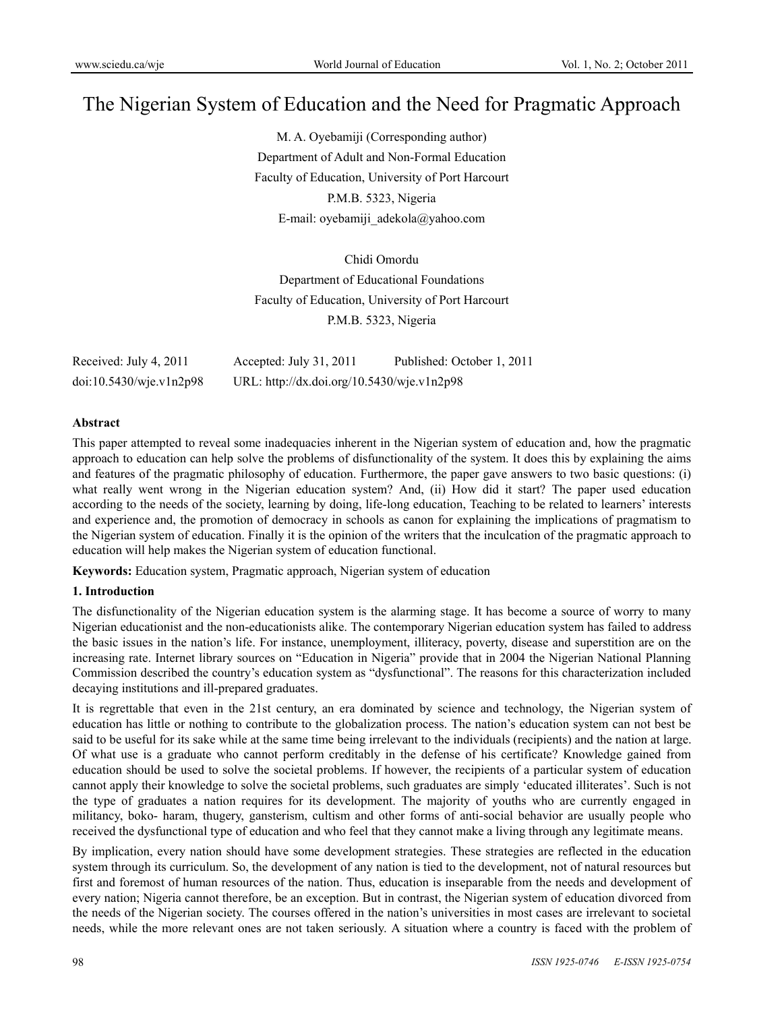# The Nigerian System of Education and the Need for Pragmatic Approach

M. A. Oyebamiji (Corresponding author) Department of Adult and Non-Formal Education Faculty of Education, University of Port Harcourt P.M.B. 5323, Nigeria E-mail: oyebamiji\_adekola@yahoo.com

Chidi Omordu Department of Educational Foundations Faculty of Education, University of Port Harcourt P.M.B. 5323, Nigeria

| Received: July 4, 2011  | Accepted: July $31, 2011$                  | Published: October 1, 2011 |
|-------------------------|--------------------------------------------|----------------------------|
| doi:10.5430/wje.v1n2p98 | URL: http://dx.doi.org/10.5430/wje.v1n2p98 |                            |

### **Abstract**

This paper attempted to reveal some inadequacies inherent in the Nigerian system of education and, how the pragmatic approach to education can help solve the problems of disfunctionality of the system. It does this by explaining the aims and features of the pragmatic philosophy of education. Furthermore, the paper gave answers to two basic questions: (i) what really went wrong in the Nigerian education system? And, (ii) How did it start? The paper used education according to the needs of the society, learning by doing, life-long education, Teaching to be related to learners' interests and experience and, the promotion of democracy in schools as canon for explaining the implications of pragmatism to the Nigerian system of education. Finally it is the opinion of the writers that the inculcation of the pragmatic approach to education will help makes the Nigerian system of education functional.

**Keywords:** Education system, Pragmatic approach, Nigerian system of education

## **1. Introduction**

The disfunctionality of the Nigerian education system is the alarming stage. It has become a source of worry to many Nigerian educationist and the non-educationists alike. The contemporary Nigerian education system has failed to address the basic issues in the nation's life. For instance, unemployment, illiteracy, poverty, disease and superstition are on the increasing rate. Internet library sources on "Education in Nigeria" provide that in 2004 the Nigerian National Planning Commission described the country's education system as "dysfunctional". The reasons for this characterization included decaying institutions and ill-prepared graduates.

It is regrettable that even in the 21st century, an era dominated by science and technology, the Nigerian system of education has little or nothing to contribute to the globalization process. The nation's education system can not best be said to be useful for its sake while at the same time being irrelevant to the individuals (recipients) and the nation at large. Of what use is a graduate who cannot perform creditably in the defense of his certificate? Knowledge gained from education should be used to solve the societal problems. If however, the recipients of a particular system of education cannot apply their knowledge to solve the societal problems, such graduates are simply 'educated illiterates'. Such is not the type of graduates a nation requires for its development. The majority of youths who are currently engaged in militancy, boko- haram, thugery, gansterism, cultism and other forms of anti-social behavior are usually people who received the dysfunctional type of education and who feel that they cannot make a living through any legitimate means.

By implication, every nation should have some development strategies. These strategies are reflected in the education system through its curriculum. So, the development of any nation is tied to the development, not of natural resources but first and foremost of human resources of the nation. Thus, education is inseparable from the needs and development of every nation; Nigeria cannot therefore, be an exception. But in contrast, the Nigerian system of education divorced from the needs of the Nigerian society. The courses offered in the nation's universities in most cases are irrelevant to societal needs, while the more relevant ones are not taken seriously. A situation where a country is faced with the problem of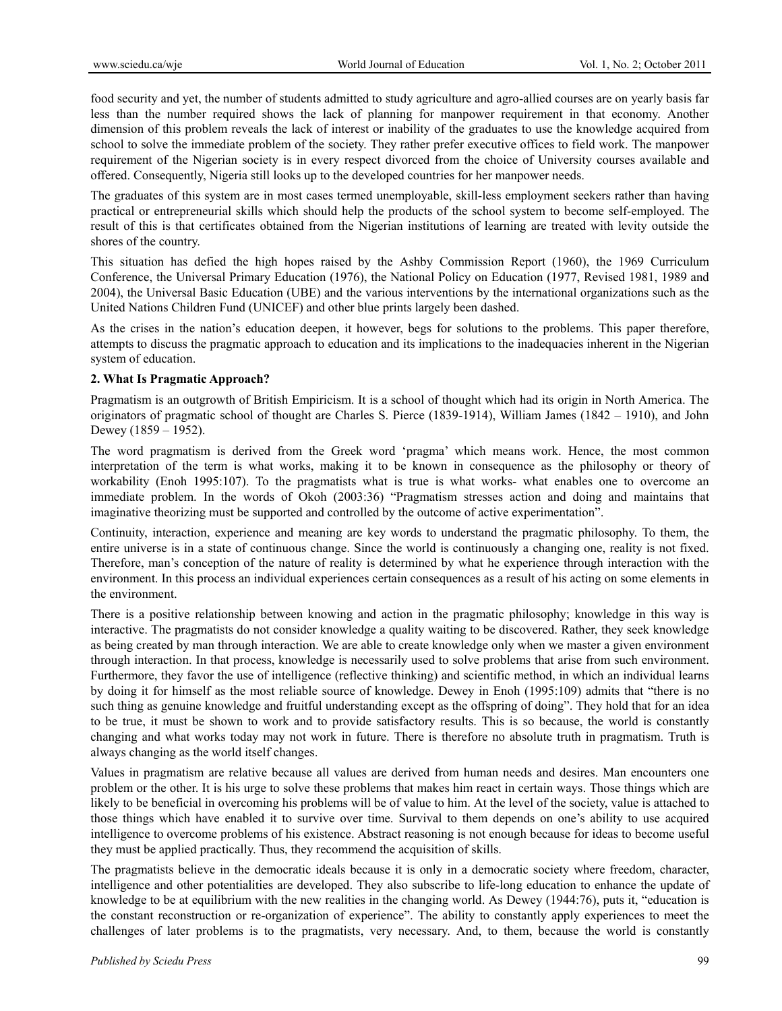food security and yet, the number of students admitted to study agriculture and agro-allied courses are on yearly basis far less than the number required shows the lack of planning for manpower requirement in that economy. Another dimension of this problem reveals the lack of interest or inability of the graduates to use the knowledge acquired from school to solve the immediate problem of the society. They rather prefer executive offices to field work. The manpower requirement of the Nigerian society is in every respect divorced from the choice of University courses available and offered. Consequently, Nigeria still looks up to the developed countries for her manpower needs.

The graduates of this system are in most cases termed unemployable, skill-less employment seekers rather than having practical or entrepreneurial skills which should help the products of the school system to become self-employed. The result of this is that certificates obtained from the Nigerian institutions of learning are treated with levity outside the shores of the country.

This situation has defied the high hopes raised by the Ashby Commission Report (1960), the 1969 Curriculum Conference, the Universal Primary Education (1976), the National Policy on Education (1977, Revised 1981, 1989 and 2004), the Universal Basic Education (UBE) and the various interventions by the international organizations such as the United Nations Children Fund (UNICEF) and other blue prints largely been dashed.

As the crises in the nation's education deepen, it however, begs for solutions to the problems. This paper therefore, attempts to discuss the pragmatic approach to education and its implications to the inadequacies inherent in the Nigerian system of education.

### **2. What Is Pragmatic Approach?**

Pragmatism is an outgrowth of British Empiricism. It is a school of thought which had its origin in North America. The originators of pragmatic school of thought are Charles S. Pierce (1839-1914), William James (1842 – 1910), and John Dewey (1859 – 1952).

The word pragmatism is derived from the Greek word 'pragma' which means work. Hence, the most common interpretation of the term is what works, making it to be known in consequence as the philosophy or theory of workability (Enoh 1995:107). To the pragmatists what is true is what works- what enables one to overcome an immediate problem. In the words of Okoh (2003:36) "Pragmatism stresses action and doing and maintains that imaginative theorizing must be supported and controlled by the outcome of active experimentation".

Continuity, interaction, experience and meaning are key words to understand the pragmatic philosophy. To them, the entire universe is in a state of continuous change. Since the world is continuously a changing one, reality is not fixed. Therefore, man's conception of the nature of reality is determined by what he experience through interaction with the environment. In this process an individual experiences certain consequences as a result of his acting on some elements in the environment.

There is a positive relationship between knowing and action in the pragmatic philosophy; knowledge in this way is interactive. The pragmatists do not consider knowledge a quality waiting to be discovered. Rather, they seek knowledge as being created by man through interaction. We are able to create knowledge only when we master a given environment through interaction. In that process, knowledge is necessarily used to solve problems that arise from such environment. Furthermore, they favor the use of intelligence (reflective thinking) and scientific method, in which an individual learns by doing it for himself as the most reliable source of knowledge. Dewey in Enoh (1995:109) admits that "there is no such thing as genuine knowledge and fruitful understanding except as the offspring of doing". They hold that for an idea to be true, it must be shown to work and to provide satisfactory results. This is so because, the world is constantly changing and what works today may not work in future. There is therefore no absolute truth in pragmatism. Truth is always changing as the world itself changes.

Values in pragmatism are relative because all values are derived from human needs and desires. Man encounters one problem or the other. It is his urge to solve these problems that makes him react in certain ways. Those things which are likely to be beneficial in overcoming his problems will be of value to him. At the level of the society, value is attached to those things which have enabled it to survive over time. Survival to them depends on one's ability to use acquired intelligence to overcome problems of his existence. Abstract reasoning is not enough because for ideas to become useful they must be applied practically. Thus, they recommend the acquisition of skills.

The pragmatists believe in the democratic ideals because it is only in a democratic society where freedom, character, intelligence and other potentialities are developed. They also subscribe to life-long education to enhance the update of knowledge to be at equilibrium with the new realities in the changing world. As Dewey (1944:76), puts it, "education is the constant reconstruction or re-organization of experience". The ability to constantly apply experiences to meet the challenges of later problems is to the pragmatists, very necessary. And, to them, because the world is constantly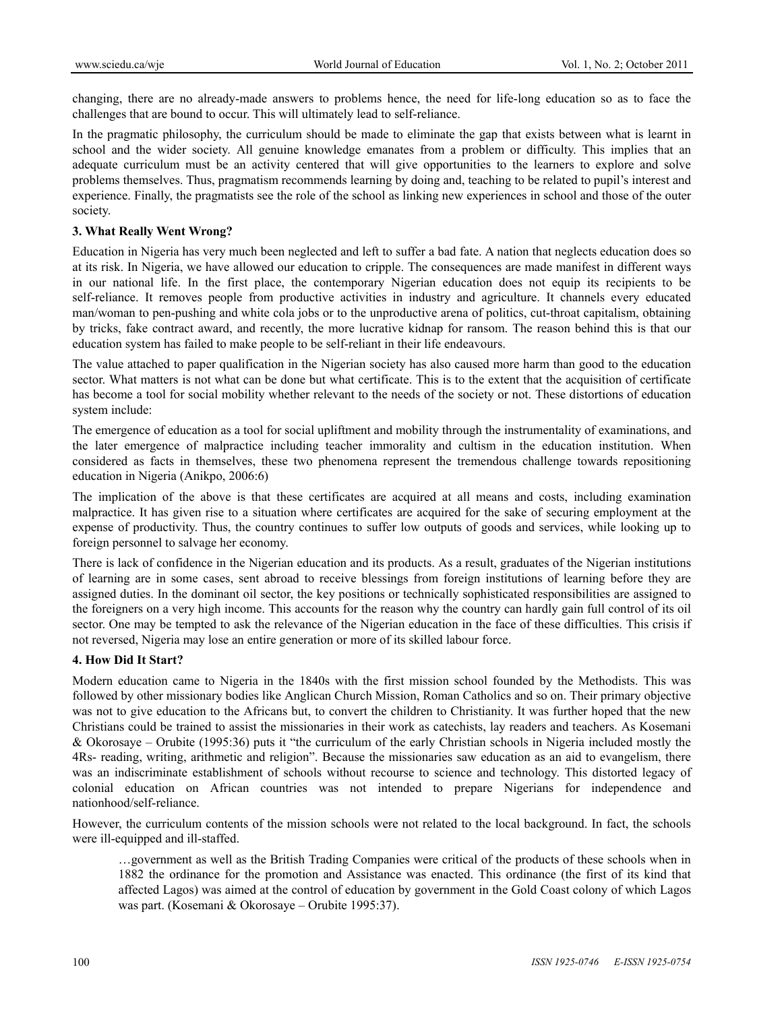changing, there are no already-made answers to problems hence, the need for life-long education so as to face the challenges that are bound to occur. This will ultimately lead to self-reliance.

In the pragmatic philosophy, the curriculum should be made to eliminate the gap that exists between what is learnt in school and the wider society. All genuine knowledge emanates from a problem or difficulty. This implies that an adequate curriculum must be an activity centered that will give opportunities to the learners to explore and solve problems themselves. Thus, pragmatism recommends learning by doing and, teaching to be related to pupil's interest and experience. Finally, the pragmatists see the role of the school as linking new experiences in school and those of the outer society.

### **3. What Really Went Wrong?**

Education in Nigeria has very much been neglected and left to suffer a bad fate. A nation that neglects education does so at its risk. In Nigeria, we have allowed our education to cripple. The consequences are made manifest in different ways in our national life. In the first place, the contemporary Nigerian education does not equip its recipients to be self-reliance. It removes people from productive activities in industry and agriculture. It channels every educated man/woman to pen-pushing and white cola jobs or to the unproductive arena of politics, cut-throat capitalism, obtaining by tricks, fake contract award, and recently, the more lucrative kidnap for ransom. The reason behind this is that our education system has failed to make people to be self-reliant in their life endeavours.

The value attached to paper qualification in the Nigerian society has also caused more harm than good to the education sector. What matters is not what can be done but what certificate. This is to the extent that the acquisition of certificate has become a tool for social mobility whether relevant to the needs of the society or not. These distortions of education system include:

The emergence of education as a tool for social upliftment and mobility through the instrumentality of examinations, and the later emergence of malpractice including teacher immorality and cultism in the education institution. When considered as facts in themselves, these two phenomena represent the tremendous challenge towards repositioning education in Nigeria (Anikpo, 2006:6)

The implication of the above is that these certificates are acquired at all means and costs, including examination malpractice. It has given rise to a situation where certificates are acquired for the sake of securing employment at the expense of productivity. Thus, the country continues to suffer low outputs of goods and services, while looking up to foreign personnel to salvage her economy.

There is lack of confidence in the Nigerian education and its products. As a result, graduates of the Nigerian institutions of learning are in some cases, sent abroad to receive blessings from foreign institutions of learning before they are assigned duties. In the dominant oil sector, the key positions or technically sophisticated responsibilities are assigned to the foreigners on a very high income. This accounts for the reason why the country can hardly gain full control of its oil sector. One may be tempted to ask the relevance of the Nigerian education in the face of these difficulties. This crisis if not reversed, Nigeria may lose an entire generation or more of its skilled labour force.

### **4. How Did It Start?**

Modern education came to Nigeria in the 1840s with the first mission school founded by the Methodists. This was followed by other missionary bodies like Anglican Church Mission, Roman Catholics and so on. Their primary objective was not to give education to the Africans but, to convert the children to Christianity. It was further hoped that the new Christians could be trained to assist the missionaries in their work as catechists, lay readers and teachers. As Kosemani & Okorosaye – Orubite (1995:36) puts it "the curriculum of the early Christian schools in Nigeria included mostly the 4Rs- reading, writing, arithmetic and religion". Because the missionaries saw education as an aid to evangelism, there was an indiscriminate establishment of schools without recourse to science and technology. This distorted legacy of colonial education on African countries was not intended to prepare Nigerians for independence and nationhood/self-reliance.

However, the curriculum contents of the mission schools were not related to the local background. In fact, the schools were ill-equipped and ill-staffed.

…government as well as the British Trading Companies were critical of the products of these schools when in 1882 the ordinance for the promotion and Assistance was enacted. This ordinance (the first of its kind that affected Lagos) was aimed at the control of education by government in the Gold Coast colony of which Lagos was part. (Kosemani & Okorosaye – Orubite 1995:37).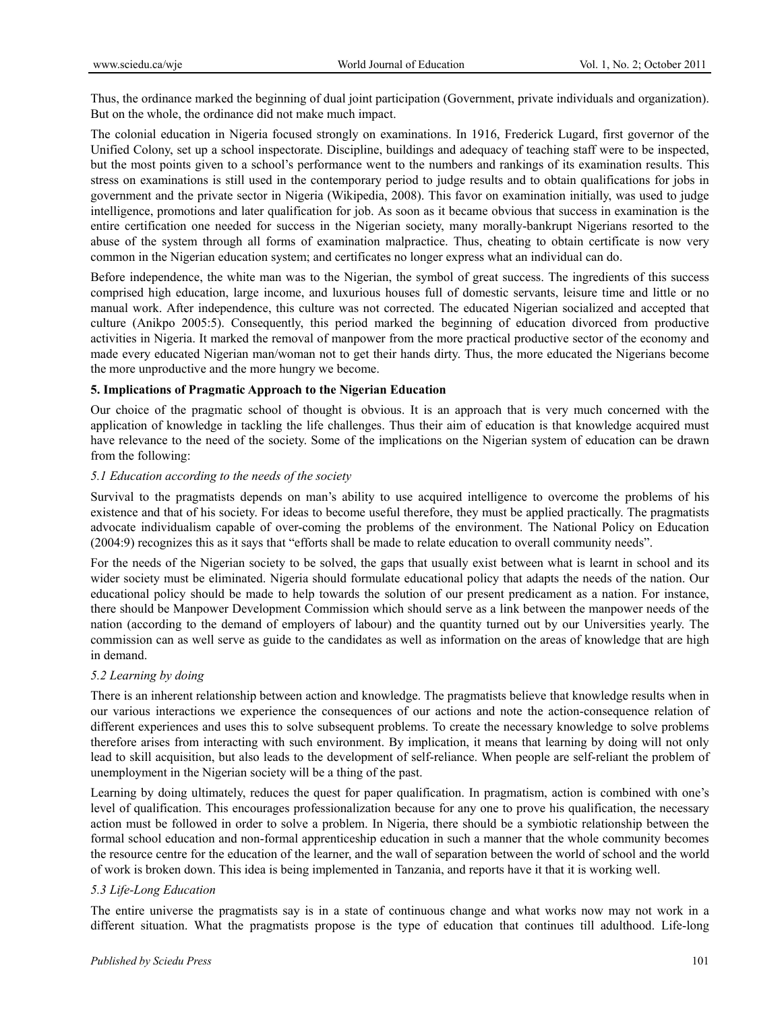Thus, the ordinance marked the beginning of dual joint participation (Government, private individuals and organization). But on the whole, the ordinance did not make much impact.

The colonial education in Nigeria focused strongly on examinations. In 1916, Frederick Lugard, first governor of the Unified Colony, set up a school inspectorate. Discipline, buildings and adequacy of teaching staff were to be inspected, but the most points given to a school's performance went to the numbers and rankings of its examination results. This stress on examinations is still used in the contemporary period to judge results and to obtain qualifications for jobs in government and the private sector in Nigeria (Wikipedia, 2008). This favor on examination initially, was used to judge intelligence, promotions and later qualification for job. As soon as it became obvious that success in examination is the entire certification one needed for success in the Nigerian society, many morally-bankrupt Nigerians resorted to the abuse of the system through all forms of examination malpractice. Thus, cheating to obtain certificate is now very common in the Nigerian education system; and certificates no longer express what an individual can do.

Before independence, the white man was to the Nigerian, the symbol of great success. The ingredients of this success comprised high education, large income, and luxurious houses full of domestic servants, leisure time and little or no manual work. After independence, this culture was not corrected. The educated Nigerian socialized and accepted that culture (Anikpo 2005:5). Consequently, this period marked the beginning of education divorced from productive activities in Nigeria. It marked the removal of manpower from the more practical productive sector of the economy and made every educated Nigerian man/woman not to get their hands dirty. Thus, the more educated the Nigerians become the more unproductive and the more hungry we become.

### **5. Implications of Pragmatic Approach to the Nigerian Education**

Our choice of the pragmatic school of thought is obvious. It is an approach that is very much concerned with the application of knowledge in tackling the life challenges. Thus their aim of education is that knowledge acquired must have relevance to the need of the society. Some of the implications on the Nigerian system of education can be drawn from the following:

### *5.1 Education according to the needs of the society*

Survival to the pragmatists depends on man's ability to use acquired intelligence to overcome the problems of his existence and that of his society. For ideas to become useful therefore, they must be applied practically. The pragmatists advocate individualism capable of over-coming the problems of the environment. The National Policy on Education (2004:9) recognizes this as it says that "efforts shall be made to relate education to overall community needs".

For the needs of the Nigerian society to be solved, the gaps that usually exist between what is learnt in school and its wider society must be eliminated. Nigeria should formulate educational policy that adapts the needs of the nation. Our educational policy should be made to help towards the solution of our present predicament as a nation. For instance, there should be Manpower Development Commission which should serve as a link between the manpower needs of the nation (according to the demand of employers of labour) and the quantity turned out by our Universities yearly. The commission can as well serve as guide to the candidates as well as information on the areas of knowledge that are high in demand.

### *5.2 Learning by doing*

There is an inherent relationship between action and knowledge. The pragmatists believe that knowledge results when in our various interactions we experience the consequences of our actions and note the action-consequence relation of different experiences and uses this to solve subsequent problems. To create the necessary knowledge to solve problems therefore arises from interacting with such environment. By implication, it means that learning by doing will not only lead to skill acquisition, but also leads to the development of self-reliance. When people are self-reliant the problem of unemployment in the Nigerian society will be a thing of the past.

Learning by doing ultimately, reduces the quest for paper qualification. In pragmatism, action is combined with one's level of qualification. This encourages professionalization because for any one to prove his qualification, the necessary action must be followed in order to solve a problem. In Nigeria, there should be a symbiotic relationship between the formal school education and non-formal apprenticeship education in such a manner that the whole community becomes the resource centre for the education of the learner, and the wall of separation between the world of school and the world of work is broken down. This idea is being implemented in Tanzania, and reports have it that it is working well.

### *5.3 Life-Long Education*

The entire universe the pragmatists say is in a state of continuous change and what works now may not work in a different situation. What the pragmatists propose is the type of education that continues till adulthood. Life-long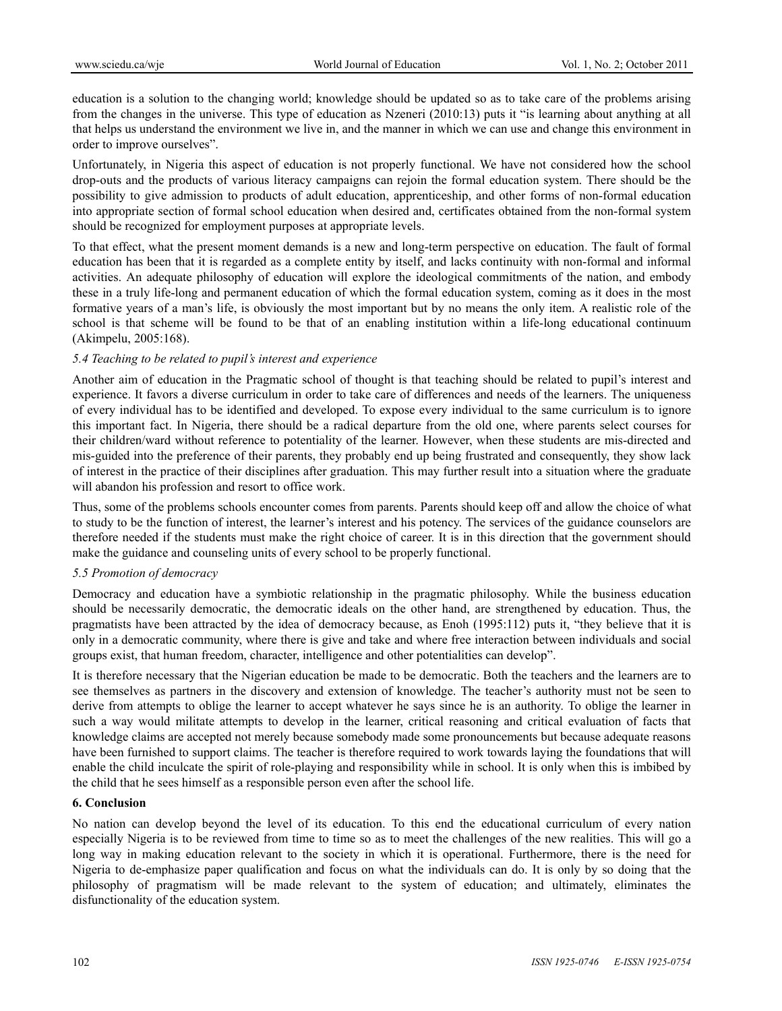education is a solution to the changing world; knowledge should be updated so as to take care of the problems arising from the changes in the universe. This type of education as Nzeneri (2010:13) puts it "is learning about anything at all that helps us understand the environment we live in, and the manner in which we can use and change this environment in order to improve ourselves".

Unfortunately, in Nigeria this aspect of education is not properly functional. We have not considered how the school drop-outs and the products of various literacy campaigns can rejoin the formal education system. There should be the possibility to give admission to products of adult education, apprenticeship, and other forms of non-formal education into appropriate section of formal school education when desired and, certificates obtained from the non-formal system should be recognized for employment purposes at appropriate levels.

To that effect, what the present moment demands is a new and long-term perspective on education. The fault of formal education has been that it is regarded as a complete entity by itself, and lacks continuity with non-formal and informal activities. An adequate philosophy of education will explore the ideological commitments of the nation, and embody these in a truly life-long and permanent education of which the formal education system, coming as it does in the most formative years of a man's life, is obviously the most important but by no means the only item. A realistic role of the school is that scheme will be found to be that of an enabling institution within a life-long educational continuum (Akimpelu, 2005:168).

### *5.4 Teaching to be related to pupil's interest and experience*

Another aim of education in the Pragmatic school of thought is that teaching should be related to pupil's interest and experience. It favors a diverse curriculum in order to take care of differences and needs of the learners. The uniqueness of every individual has to be identified and developed. To expose every individual to the same curriculum is to ignore this important fact. In Nigeria, there should be a radical departure from the old one, where parents select courses for their children/ward without reference to potentiality of the learner. However, when these students are mis-directed and mis-guided into the preference of their parents, they probably end up being frustrated and consequently, they show lack of interest in the practice of their disciplines after graduation. This may further result into a situation where the graduate will abandon his profession and resort to office work.

Thus, some of the problems schools encounter comes from parents. Parents should keep off and allow the choice of what to study to be the function of interest, the learner's interest and his potency. The services of the guidance counselors are therefore needed if the students must make the right choice of career. It is in this direction that the government should make the guidance and counseling units of every school to be properly functional.

### *5.5 Promotion of democracy*

Democracy and education have a symbiotic relationship in the pragmatic philosophy. While the business education should be necessarily democratic, the democratic ideals on the other hand, are strengthened by education. Thus, the pragmatists have been attracted by the idea of democracy because, as Enoh (1995:112) puts it, "they believe that it is only in a democratic community, where there is give and take and where free interaction between individuals and social groups exist, that human freedom, character, intelligence and other potentialities can develop".

It is therefore necessary that the Nigerian education be made to be democratic. Both the teachers and the learners are to see themselves as partners in the discovery and extension of knowledge. The teacher's authority must not be seen to derive from attempts to oblige the learner to accept whatever he says since he is an authority. To oblige the learner in such a way would militate attempts to develop in the learner, critical reasoning and critical evaluation of facts that knowledge claims are accepted not merely because somebody made some pronouncements but because adequate reasons have been furnished to support claims. The teacher is therefore required to work towards laying the foundations that will enable the child inculcate the spirit of role-playing and responsibility while in school. It is only when this is imbibed by the child that he sees himself as a responsible person even after the school life.

### **6. Conclusion**

No nation can develop beyond the level of its education. To this end the educational curriculum of every nation especially Nigeria is to be reviewed from time to time so as to meet the challenges of the new realities. This will go a long way in making education relevant to the society in which it is operational. Furthermore, there is the need for Nigeria to de-emphasize paper qualification and focus on what the individuals can do. It is only by so doing that the philosophy of pragmatism will be made relevant to the system of education; and ultimately, eliminates the disfunctionality of the education system.